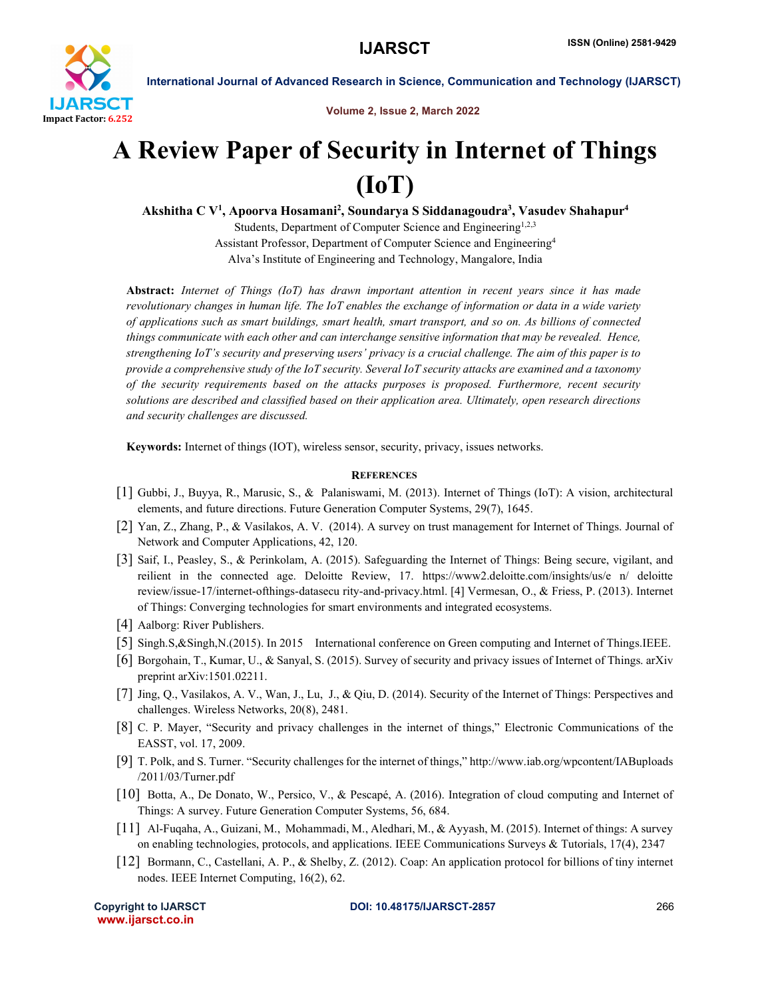

International Journal of Advanced Research in Science, Communication and Technology (IJARSCT)

Volume 2, Issue 2, March 2022

## A Review Paper of Security in Internet of Things (IoT)

Akshitha C V<sup>1</sup>, Apoorva Hosamani<sup>2</sup>, Soundarya S Siddanagoudra<sup>3</sup>, Vasudev Shahapur<sup>4</sup>

Students, Department of Computer Science and Engineering<sup>1,2,3</sup> Assistant Professor, Department of Computer Science and Engineering4 Alva's Institute of Engineering and Technology, Mangalore, India

Abstract: *Internet of Things (IoT) has drawn important attention in recent years since it has made revolutionary changes in human life. The IoT enables the exchange of information or data in a wide variety of applications such as smart buildings, smart health, smart transport, and so on. As billions of connected things communicate with each other and can interchange sensitive information that may be revealed. Hence, strengthening IoT's security and preserving users' privacy is a crucial challenge. The aim of this paper is to provide a comprehensive study of the IoT security. Several IoT security attacks are examined and a taxonomy of the security requirements based on the attacks purposes is proposed. Furthermore, recent security solutions are described and classified based on their application area. Ultimately, open research directions and security challenges are discussed.*

Keywords: Internet of things (IOT), wireless sensor, security, privacy, issues networks.

## **REFERENCES**

- [1] Gubbi, J., Buyya, R., Marusic, S., & Palaniswami, M. (2013). Internet of Things (IoT): A vision, architectural elements, and future directions. Future Generation Computer Systems, 29(7), 1645.
- [2] Yan, Z., Zhang, P., & Vasilakos, A. V. (2014). A survey on trust management for Internet of Things. Journal of Network and Computer Applications, 42, 120.
- [3] Saif, I., Peasley, S., & Perinkolam, A. (2015). Safeguarding the Internet of Things: Being secure, vigilant, and reilient in the connected age. Deloitte Review, 17. https://www2.deloitte.com/insights/us/e n/ deloitte review/issue-17/internet-ofthings-datasecu rity-and-privacy.html. [4] Vermesan, O., & Friess, P. (2013). Internet of Things: Converging technologies for smart environments and integrated ecosystems.
- [4] Aalborg: River Publishers.
- [5] Singh.S,&Singh,N.(2015). In 2015 International conference on Green computing and Internet of Things.IEEE.
- [6] Borgohain, T., Kumar, U., & Sanyal, S. (2015). Survey of security and privacy issues of Internet of Things. arXiv preprint arXiv:1501.02211.
- [7] Jing, Q., Vasilakos, A. V., Wan, J., Lu, J., & Qiu, D. (2014). Security of the Internet of Things: Perspectives and challenges. Wireless Networks, 20(8), 2481.
- [8] C. P. Mayer, "Security and privacy challenges in the internet of things," Electronic Communications of the EASST, vol. 17, 2009.
- [9] T. Polk, and S. Turner. "Security challenges for the internet of things," http://www.iab.org/wpcontent/IABuploads /2011/03/Turner.pdf
- [10] Botta, A., De Donato, W., Persico, V., & Pescapé, A. (2016). Integration of cloud computing and Internet of Things: A survey. Future Generation Computer Systems, 56, 684.
- [11] Al-Fuqaha, A., Guizani, M., Mohammadi, M., Aledhari, M., & Ayyash, M. (2015). Internet of things: A survey on enabling technologies, protocols, and applications. IEEE Communications Surveys & Tutorials, 17(4), 2347
- [12] Bormann, C., Castellani, A. P., & Shelby, Z. (2012). Coap: An application protocol for billions of tiny internet nodes. IEEE Internet Computing, 16(2), 62.